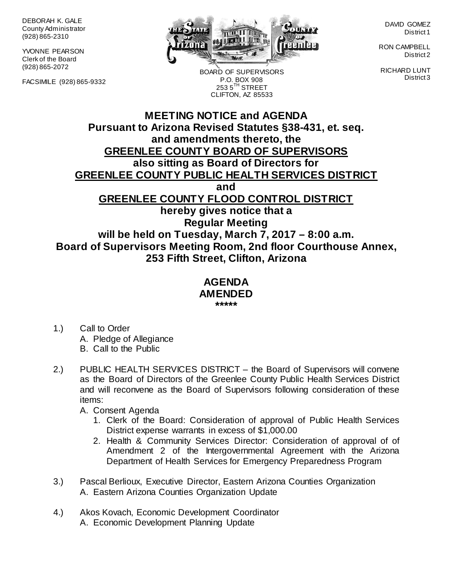DEBORAH K. GALE County Administrator (928) 865-2310

YVONNE PEARSON Clerk of the Board (928) 865-2072

FACSIMILE (928) 865-9332



BOARD OF SUPERVISORS P.O. BOX 908  $2535^{\text{TH}}$  STREET CLIFTON, AZ 85533

DAVID GOMEZ District 1

RON CAMPBELL District 2

RICHARD LUNT District 3

# **MEETING NOTICE and AGENDA Pursuant to Arizona Revised Statutes §38-431, et. seq. and amendments thereto, the GREENLEE COUNTY BOARD OF SUPERVISORS also sitting as Board of Directors for GREENLEE COUNTY PUBLIC HEALTH SERVICES DISTRICT and GREENLEE COUNTY FLOOD CONTROL DISTRICT hereby gives notice that a Regular Meeting will be held on Tuesday, March 7, 2017 – 8:00 a.m. Board of Supervisors Meeting Room, 2nd floor Courthouse Annex, 253 Fifth Street, Clifton, Arizona**

#### **AGENDA AMENDED \*\*\*\*\***

- 1.) Call to Order A. Pledge of Allegiance B. Call to the Public
- 2.) PUBLIC HEALTH SERVICES DISTRICT the Board of Supervisors will convene as the Board of Directors of the Greenlee County Public Health Services District and will reconvene as the Board of Supervisors following consideration of these items:
	- A. Consent Agenda
		- 1. Clerk of the Board: Consideration of approval of Public Health Services District expense warrants in excess of \$1,000.00
		- 2. Health & Community Services Director: Consideration of approval of of Amendment 2 of the Intergovernmental Agreement with the Arizona Department of Health Services for Emergency Preparedness Program
- 3.) Pascal Berlioux, Executive Director, Eastern Arizona Counties Organization A. Eastern Arizona Counties Organization Update
- 4.) Akos Kovach, Economic Development Coordinator A. Economic Development Planning Update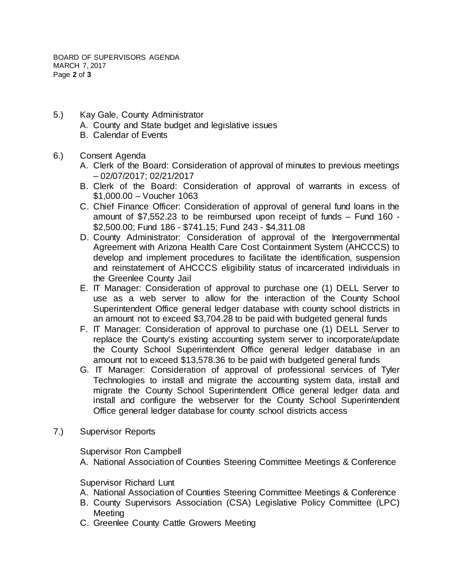BOARD OF SUPERVISORS AGENDA MARCH 7, 2017 Page **2** of **3**

- 5.) Kay Gale, County Administrator
	- A. County and State budget and legislative issues
	- B. Calendar of Events
- 6.) Consent Agenda
	- A. Clerk of the Board: Consideration of approval of minutes to previous meetings – 02/07/2017; 02/21/2017
	- B. Clerk of the Board: Consideration of approval of warrants in excess of \$1,000.00 – Voucher 1063
	- C. Chief Finance Officer: Consideration of approval of general fund loans in the amount of \$7,552.23 to be reimbursed upon receipt of funds – Fund 160 - \$2,500.00; Fund 186 - \$741.15; Fund 243 - \$4,311.08
	- D. County Administrator: Consideration of approval of the Intergovernmental Agreement with Arizona Health Care Cost Containment System (AHCCCS) to develop and implement procedures to facilitate the identification, suspension and reinstatement of AHCCCS eligibility status of incarcerated individuals in the Greenlee County Jail
	- E. IT Manager: Consideration of approval to purchase one (1) DELL Server to use as a web server to allow for the interaction of the County School Superintendent Office general ledger database with county school districts in an amount not to exceed \$3,704.28 to be paid with budgeted general funds
	- F. IT Manager: Consideration of approval to purchase one (1) DELL Server to replace the County's existing accounting system server to incorporate/update the County School Superintendent Office general ledger database in an amount not to exceed \$13,578.36 to be paid with budgeted general funds
	- G. IT Manager: Consideration of approval of professional services of Tyler Technologies to install and migrate the accounting system data, install and migrate the County School Superintendent Office general ledger data and install and configure the webserver for the County School Superintendent Office general ledger database for county school districts access
- 7.) Supervisor Reports

Supervisor Ron Campbell

A. National Association of Counties Steering Committee Meetings & Conference

## Supervisor Richard Lunt

- A. National Association of Counties Steering Committee Meetings & Conference
- B. County Supervisors Association (CSA) Legislative Policy Committee (LPC) Meeting
- C. Greenlee County Cattle Growers Meeting